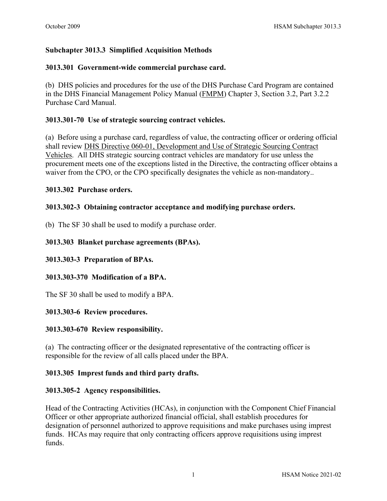# **Subchapter 3013.3 Simplified Acquisition Methods**

### **3013.301 Government-wide commercial purchase card.**

(b) DHS policies and procedures for the use of the DHS Purchase Card Program are contained in the DHS Financial Management Policy Manual [\(FMPM\)](http://cfo-policy.dhs.gov/default.aspx) Chapter 3, Section 3.2, Part 3.2.2 Purchase Card Manual.

## **3013.301-70 Use of strategic sourcing contract vehicles.**

(a) Before using a purchase card, regardless of value, the contracting officer or ordering official shall review [DHS Directive 060-01, Development and Use of Strategic Sourcing Contract](http://dhsconnect.dhs.gov/org/comp/mgmt/cpo/oss/Documents/Strategic%20Sourcing/Strategic%20Sourcing%20Policy%20Links/Directive%20060-01/DHS%20Directive%20060-01%20Development%20and%20Use%20of%20Strategic%20Sourcing%20Contract%20Vehicles%20(Final%20Signed).pdfhttp:/dhsconnect.dhs.gov/org/comp/mgmt/cpo/oss/Documents/Strategic%20Sourcing/Strategic%20Sourcing%20Policy%20Links/Directive%20060-01/DHS%20Directive%20060-01%20Development%20and%20Use%20of%20Strategic%20Sourcing%20Contract%20Vehicles%20(Final%20Signed).pdf)  [Vehicles.](http://dhsconnect.dhs.gov/org/comp/mgmt/cpo/oss/Documents/Strategic%20Sourcing/Strategic%20Sourcing%20Policy%20Links/Directive%20060-01/DHS%20Directive%20060-01%20Development%20and%20Use%20of%20Strategic%20Sourcing%20Contract%20Vehicles%20(Final%20Signed).pdfhttp:/dhsconnect.dhs.gov/org/comp/mgmt/cpo/oss/Documents/Strategic%20Sourcing/Strategic%20Sourcing%20Policy%20Links/Directive%20060-01/DHS%20Directive%20060-01%20Development%20and%20Use%20of%20Strategic%20Sourcing%20Contract%20Vehicles%20(Final%20Signed).pdf) All DHS strategic sourcing contract vehicles are mandatory for use unless the procurement meets one of the exceptions listed in the Directive, the contracting officer obtains a waiver from the CPO, or the CPO specifically designates the vehicle as non-mandatory..

### **3013.302 Purchase orders.**

### **3013.302-3 Obtaining contractor acceptance and modifying purchase orders.**

(b) The SF 30 shall be used to modify a purchase order.

## **3013.303 Blanket purchase agreements (BPAs).**

### **3013.303-3 Preparation of BPAs.**

### **3013.303-370 Modification of a BPA.**

The SF 30 shall be used to modify a BPA.

### **3013.303-6 Review procedures.**

### **3013.303-670 Review responsibility.**

(a) The contracting officer or the designated representative of the contracting officer is responsible for the review of all calls placed under the BPA.

### **3013.305 Imprest funds and third party drafts.**

### **3013.305-2 Agency responsibilities.**

Head of the Contracting Activities (HCAs), in conjunction with the Component Chief Financial Officer or other appropriate authorized financial official, shall establish procedures for designation of personnel authorized to approve requisitions and make purchases using imprest funds. HCAs may require that only contracting officers approve requisitions using imprest funds.